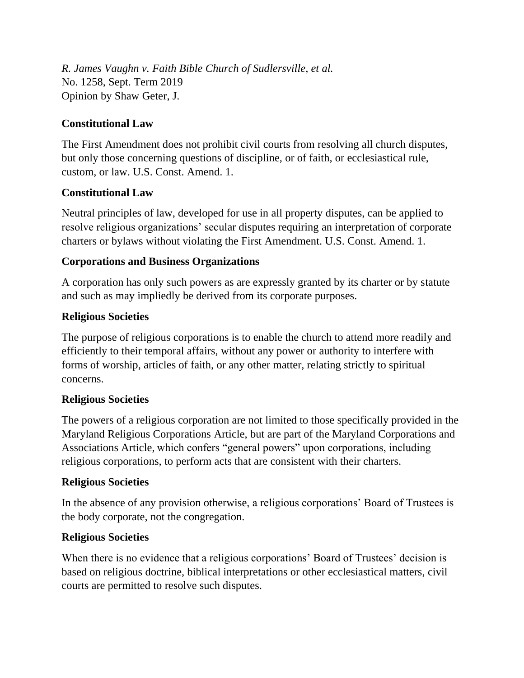*R. James Vaughn v. Faith Bible Church of Sudlersville, et al.* No. 1258, Sept. Term 2019 Opinion by Shaw Geter, J.

## **Constitutional Law**

The First Amendment does not prohibit civil courts from resolving all church disputes, but only those concerning questions of discipline, or of faith, or ecclesiastical rule, custom, or law. U.S. Const. Amend. 1.

## **Constitutional Law**

Neutral principles of law, developed for use in all property disputes, can be applied to resolve religious organizations' secular disputes requiring an interpretation of corporate charters or bylaws without violating the First Amendment. U.S. Const. Amend. 1.

# **Corporations and Business Organizations**

A corporation has only such powers as are expressly granted by its charter or by statute and such as may impliedly be derived from its corporate purposes.

## **Religious Societies**

The purpose of religious corporations is to enable the church to attend more readily and efficiently to their temporal affairs, without any power or authority to interfere with forms of worship, articles of faith, or any other matter, relating strictly to spiritual concerns.

## **Religious Societies**

The powers of a religious corporation are not limited to those specifically provided in the Maryland Religious Corporations Article, but are part of the Maryland Corporations and Associations Article, which confers "general powers" upon corporations, including religious corporations, to perform acts that are consistent with their charters.

## **Religious Societies**

In the absence of any provision otherwise, a religious corporations' Board of Trustees is the body corporate, not the congregation.

## **Religious Societies**

When there is no evidence that a religious corporations' Board of Trustees' decision is based on religious doctrine, biblical interpretations or other ecclesiastical matters, civil courts are permitted to resolve such disputes.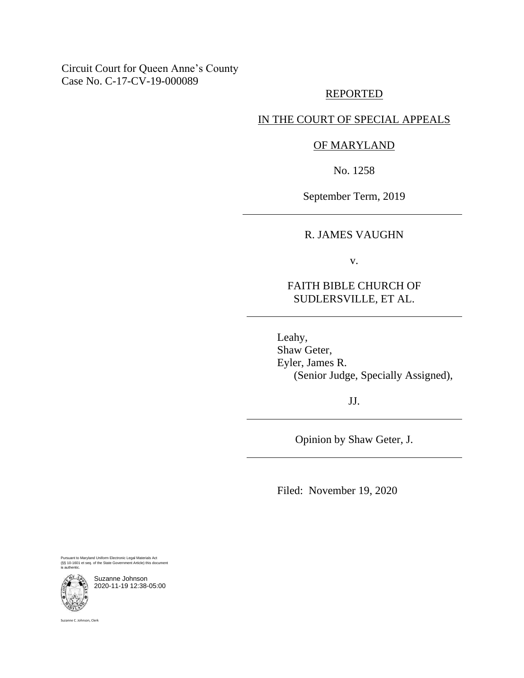### Circuit Court for Queen Anne's County Case No. C-17-CV-19-000089

#### REPORTED

### IN THE COURT OF SPECIAL APPEALS

### OF MARYLAND

No. 1258

September Term, 2019

### R. JAMES VAUGHN

v.

### FAITH BIBLE CHURCH OF SUDLERSVILLE, ET AL.

Leahy, Shaw Geter, Eyler, James R. (Senior Judge, Specially Assigned),

JJ.

Opinion by Shaw Geter, J.

Filed: November 19, 2020

Pursuant to Maryland Uniform Electronic Legal Materials Act (§§ 10-1601 et seq. of the State Government Article) this document is authentic.



Suzanne Johnson 2020-11-19 12:38-05:00

Suzanne C. Johnson, Clerk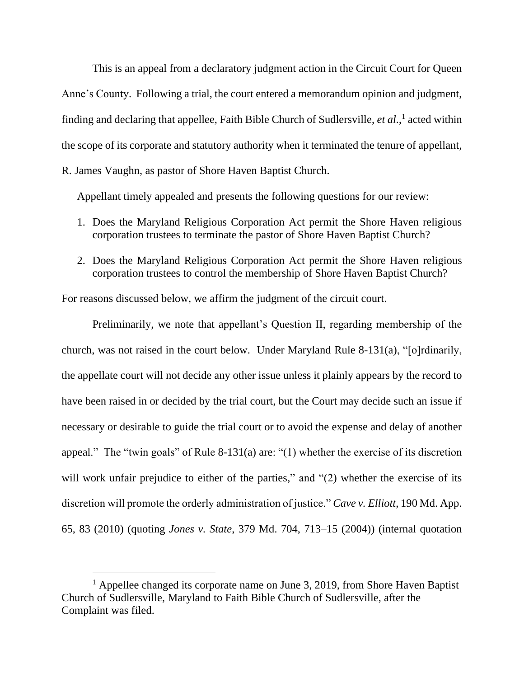This is an appeal from a declaratory judgment action in the Circuit Court for Queen Anne's County. Following a trial, the court entered a memorandum opinion and judgment, finding and declaring that appellee, Faith Bible Church of Sudlersville, *et al*., 1 acted within the scope of its corporate and statutory authority when it terminated the tenure of appellant, R. James Vaughn, as pastor of Shore Haven Baptist Church.

Appellant timely appealed and presents the following questions for our review:

- 1. Does the Maryland Religious Corporation Act permit the Shore Haven religious corporation trustees to terminate the pastor of Shore Haven Baptist Church?
- 2. Does the Maryland Religious Corporation Act permit the Shore Haven religious corporation trustees to control the membership of Shore Haven Baptist Church?

For reasons discussed below, we affirm the judgment of the circuit court.

Preliminarily, we note that appellant's Question II, regarding membership of the church, was not raised in the court below. Under Maryland Rule 8-131(a), "[o]rdinarily, the appellate court will not decide any other issue unless it plainly appears by the record to have been raised in or decided by the trial court, but the Court may decide such an issue if necessary or desirable to guide the trial court or to avoid the expense and delay of another appeal." The "twin goals" of Rule 8-131(a) are: "(1) whether the exercise of its discretion will work unfair prejudice to either of the parties," and "(2) whether the exercise of its discretion will promote the orderly administration of justice." *Cave v. Elliott*, 190 Md. App. 65, 83 (2010) (quoting *Jones v. State*, 379 Md. 704, 713–15 (2004)) (internal quotation

<sup>&</sup>lt;sup>1</sup> Appellee changed its corporate name on June 3, 2019, from Shore Haven Baptist Church of Sudlersville, Maryland to Faith Bible Church of Sudlersville, after the Complaint was filed.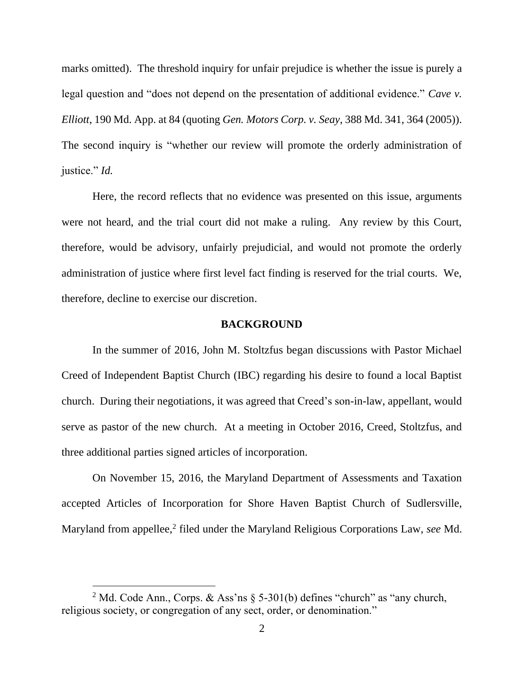marks omitted). The threshold inquiry for unfair prejudice is whether the issue is purely a legal question and "does not depend on the presentation of additional evidence." *Cave v. Elliott*, 190 Md. App. at 84 (quoting *Gen. Motors Corp. v. Seay*, 388 Md. 341, 364 (2005)). The second inquiry is "whether our review will promote the orderly administration of justice." *Id.* 

Here, the record reflects that no evidence was presented on this issue, arguments were not heard, and the trial court did not make a ruling. Any review by this Court, therefore, would be advisory, unfairly prejudicial, and would not promote the orderly administration of justice where first level fact finding is reserved for the trial courts. We, therefore, decline to exercise our discretion.

#### **BACKGROUND**

In the summer of 2016, John M. Stoltzfus began discussions with Pastor Michael Creed of Independent Baptist Church (IBC) regarding his desire to found a local Baptist church. During their negotiations, it was agreed that Creed's son-in-law, appellant, would serve as pastor of the new church. At a meeting in October 2016, Creed, Stoltzfus, and three additional parties signed articles of incorporation.

On November 15, 2016, the Maryland Department of Assessments and Taxation accepted Articles of Incorporation for Shore Haven Baptist Church of Sudlersville, Maryland from appellee,<sup>2</sup> filed under the Maryland Religious Corporations Law, see Md.

<sup>&</sup>lt;sup>2</sup> Md. Code Ann., Corps. & Ass'ns  $\S$  5-301(b) defines "church" as "any church, religious society, or congregation of any sect, order, or denomination."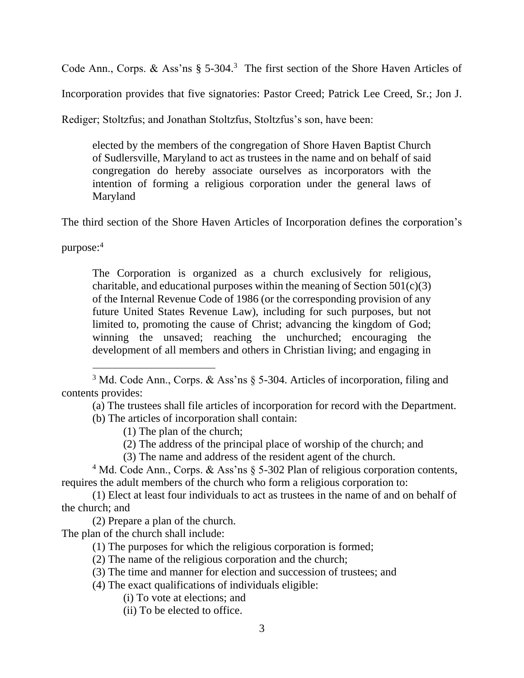Code Ann., Corps. & Ass'ns  $\S$  5-304.<sup>3</sup> The first section of the Shore Haven Articles of

Incorporation provides that five signatories: Pastor Creed; Patrick Lee Creed, Sr.; Jon J.

Rediger; Stoltzfus; and Jonathan Stoltzfus, Stoltzfus's son, have been:

elected by the members of the congregation of Shore Haven Baptist Church of Sudlersville, Maryland to act as trustees in the name and on behalf of said congregation do hereby associate ourselves as incorporators with the intention of forming a religious corporation under the general laws of Maryland

The third section of the Shore Haven Articles of Incorporation defines the corporation's

purpose:<sup>4</sup>

The Corporation is organized as a church exclusively for religious, charitable, and educational purposes within the meaning of Section  $501(c)(3)$ of the Internal Revenue Code of 1986 (or the corresponding provision of any future United States Revenue Law), including for such purposes, but not limited to, promoting the cause of Christ; advancing the kingdom of God; winning the unsaved; reaching the unchurched; encouraging the development of all members and others in Christian living; and engaging in

(a) The trustees shall file articles of incorporation for record with the Department.

(b) The articles of incorporation shall contain:

- (1) The plan of the church;
- (2) The address of the principal place of worship of the church; and
- (3) The name and address of the resident agent of the church.

<sup>4</sup> Md. Code Ann., Corps. & Ass'ns § 5-302 Plan of religious corporation contents, requires the adult members of the church who form a religious corporation to:

(1) Elect at least four individuals to act as trustees in the name of and on behalf of the church; and

(2) Prepare a plan of the church.

The plan of the church shall include:

- (1) The purposes for which the religious corporation is formed;
- (2) The name of the religious corporation and the church;

- (4) The exact qualifications of individuals eligible:
	- (i) To vote at elections; and
	- (ii) To be elected to office.

<sup>3</sup> Md. Code Ann., Corps. & Ass'ns § 5-304. Articles of incorporation, filing and contents provides:

<sup>(3)</sup> The time and manner for election and succession of trustees; and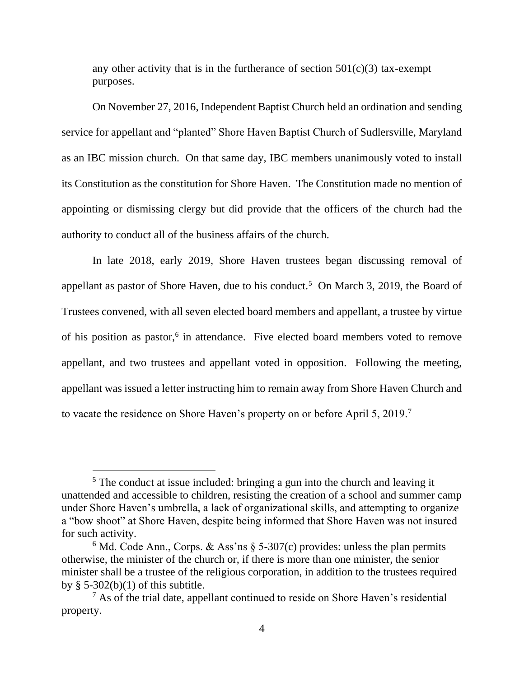any other activity that is in the furtherance of section  $501(c)(3)$  tax-exempt purposes.

On November 27, 2016, Independent Baptist Church held an ordination and sending service for appellant and "planted" Shore Haven Baptist Church of Sudlersville, Maryland as an IBC mission church. On that same day, IBC members unanimously voted to install its Constitution as the constitution for Shore Haven. The Constitution made no mention of appointing or dismissing clergy but did provide that the officers of the church had the authority to conduct all of the business affairs of the church.

In late 2018, early 2019, Shore Haven trustees began discussing removal of appellant as pastor of Shore Haven, due to his conduct.<sup>5</sup> On March 3, 2019, the Board of Trustees convened, with all seven elected board members and appellant, a trustee by virtue of his position as pastor,<sup>6</sup> in attendance. Five elected board members voted to remove appellant, and two trustees and appellant voted in opposition. Following the meeting, appellant was issued a letter instructing him to remain away from Shore Haven Church and to vacate the residence on Shore Haven's property on or before April 5, 2019.<sup>7</sup>

<sup>&</sup>lt;sup>5</sup> The conduct at issue included: bringing a gun into the church and leaving it unattended and accessible to children, resisting the creation of a school and summer camp under Shore Haven's umbrella, a lack of organizational skills, and attempting to organize a "bow shoot" at Shore Haven, despite being informed that Shore Haven was not insured for such activity.

<sup>&</sup>lt;sup>6</sup> Md. Code Ann., Corps. & Ass'ns  $\S$  5-307(c) provides: unless the plan permits otherwise, the minister of the church or, if there is more than one minister, the senior minister shall be a trustee of the religious corporation, in addition to the trustees required by  $\S$  5-302(b)(1) of this subtitle.

 $<sup>7</sup>$  As of the trial date, appellant continued to reside on Shore Haven's residential</sup> property.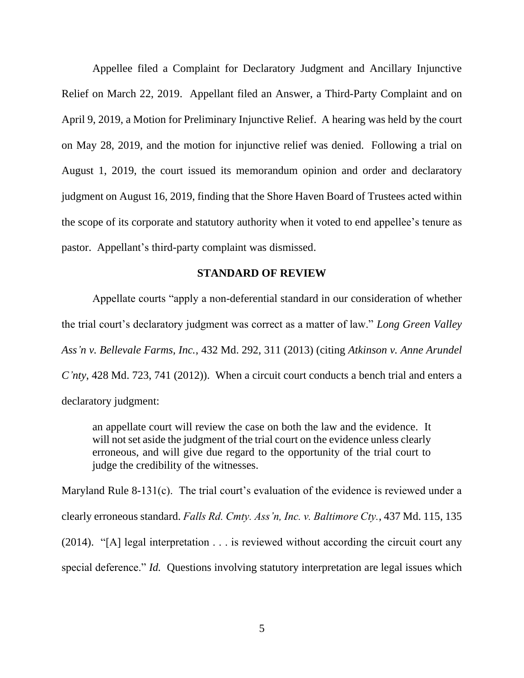Appellee filed a Complaint for Declaratory Judgment and Ancillary Injunctive Relief on March 22, 2019. Appellant filed an Answer, a Third-Party Complaint and on April 9, 2019, a Motion for Preliminary Injunctive Relief. A hearing was held by the court on May 28, 2019, and the motion for injunctive relief was denied. Following a trial on August 1, 2019, the court issued its memorandum opinion and order and declaratory judgment on August 16, 2019, finding that the Shore Haven Board of Trustees acted within the scope of its corporate and statutory authority when it voted to end appellee's tenure as pastor. Appellant's third-party complaint was dismissed.

#### **STANDARD OF REVIEW**

Appellate courts "apply a non-deferential standard in our consideration of whether the trial court's declaratory judgment was correct as a matter of law." *Long Green Valley Ass'n v. Bellevale Farms, Inc.*, 432 Md. 292, 311 (2013) (citing *Atkinson v. Anne Arundel C'nty*, 428 Md. 723, 741 (2012)). When a circuit court conducts a bench trial and enters a declaratory judgment:

an appellate court will review the case on both the law and the evidence. It will not set aside the judgment of the trial court on the evidence unless clearly erroneous, and will give due regard to the opportunity of the trial court to judge the credibility of the witnesses.

Maryland Rule 8-131(c). The trial court's evaluation of the evidence is reviewed under a clearly erroneous standard. *Falls Rd. Cmty. Ass'n, Inc. v. Baltimore Cty.*, 437 Md. 115, 135 (2014). "[A] legal interpretation  $\dots$  is reviewed without according the circuit court any special deference." *Id.* Questions involving statutory interpretation are legal issues which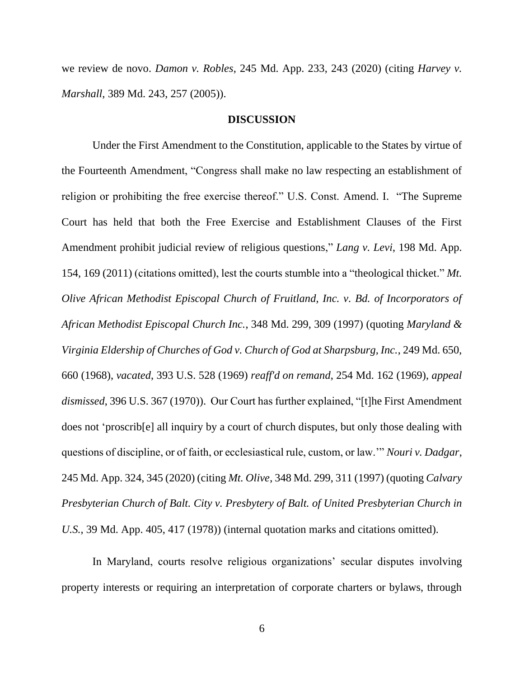we review de novo. *Damon v. Robles*, 245 Md. App. 233, 243 (2020) (citing *Harvey v. Marshall*, 389 Md. 243, 257 (2005)).

#### **DISCUSSION**

Under the First Amendment to the Constitution, applicable to the States by virtue of the Fourteenth Amendment, "Congress shall make no law respecting an establishment of religion or prohibiting the free exercise thereof." U.S. Const. Amend. I. "The Supreme Court has held that both the Free Exercise and Establishment Clauses of the First Amendment prohibit judicial review of religious questions," *Lang v. Levi*, 198 Md. App. 154, 169 (2011) (citations omitted), lest the courts stumble into a "theological thicket." *Mt. Olive African Methodist Episcopal Church of Fruitland, Inc. v. Bd. of Incorporators of African Methodist Episcopal Church Inc.*, 348 Md. 299, 309 (1997) (quoting *Maryland & Virginia Eldership of Churches of God v. Church of God at Sharpsburg, Inc.*, 249 Md. 650, 660 (1968), *vacated*, 393 U.S. 528 (1969) *reaff'd on remand*, 254 Md. 162 (1969), *appeal dismissed*, 396 U.S. 367 (1970)). Our Court has further explained, "[t]he First Amendment does not 'proscrib[e] all inquiry by a court of church disputes, but only those dealing with questions of discipline, or of faith, or ecclesiastical rule, custom, or law.'" *Nouri v. Dadgar*, 245 Md. App. 324, 345 (2020) (citing *Mt. Olive*, 348 Md. 299, 311 (1997) (quoting *Calvary Presbyterian Church of Balt. City v. Presbytery of Balt. of United Presbyterian Church in U.S.*, 39 Md. App. 405, 417 (1978)) (internal quotation marks and citations omitted).

In Maryland, courts resolve religious organizations' secular disputes involving property interests or requiring an interpretation of corporate charters or bylaws, through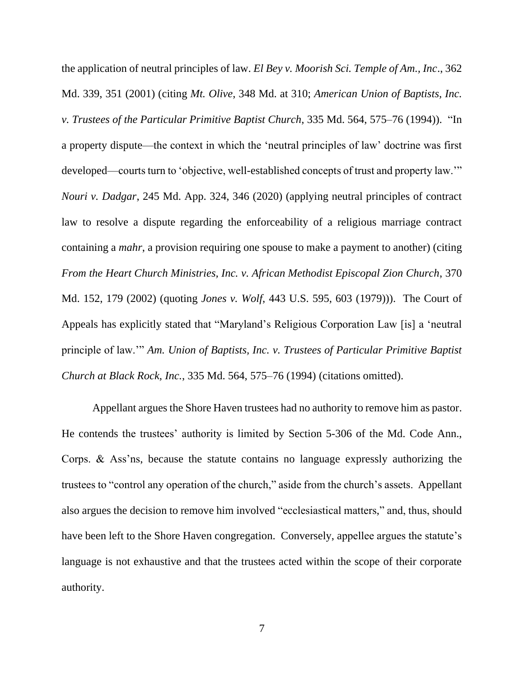the application of neutral principles of law. *El Bey v. Moorish Sci. Temple of Am., Inc*., 362 Md. 339, 351 (2001) (citing *Mt. Olive*, 348 Md. at 310; *American Union of Baptists, Inc. v. Trustees of the Particular Primitive Baptist Church*, 335 Md. 564, 575–76 (1994)). "In a property dispute—the context in which the 'neutral principles of law' doctrine was first developed—courts turn to 'objective, well-established concepts of trust and property law.'" *Nouri v. Dadgar*, 245 Md. App. 324, 346 (2020) (applying neutral principles of contract law to resolve a dispute regarding the enforceability of a religious marriage contract containing a *mahr*, a provision requiring one spouse to make a payment to another) (citing *From the Heart Church Ministries, Inc. v. African Methodist Episcopal Zion Church*, 370 Md. 152, 179 (2002) (quoting *Jones v. Wolf*, 443 U.S. 595, 603 (1979))). The Court of Appeals has explicitly stated that "Maryland's Religious Corporation Law [is] a 'neutral principle of law.'" *Am. Union of Baptists, Inc. v. Trustees of Particular Primitive Baptist Church at Black Rock, Inc.*, 335 Md. 564, 575–76 (1994) (citations omitted).

Appellant argues the Shore Haven trustees had no authority to remove him as pastor. He contends the trustees' authority is limited by Section 5-306 of the Md. Code Ann., Corps. & Ass'ns, because the statute contains no language expressly authorizing the trustees to "control any operation of the church," aside from the church's assets. Appellant also argues the decision to remove him involved "ecclesiastical matters," and, thus, should have been left to the Shore Haven congregation. Conversely, appellee argues the statute's language is not exhaustive and that the trustees acted within the scope of their corporate authority.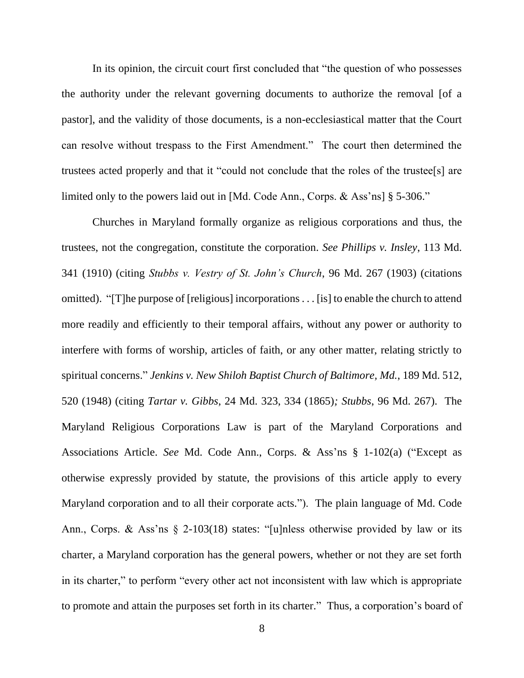In its opinion, the circuit court first concluded that "the question of who possesses the authority under the relevant governing documents to authorize the removal [of a pastor], and the validity of those documents, is a non-ecclesiastical matter that the Court can resolve without trespass to the First Amendment." The court then determined the trustees acted properly and that it "could not conclude that the roles of the trustee[s] are limited only to the powers laid out in [Md. Code Ann., Corps. & Ass'ns] § 5-306."

Churches in Maryland formally organize as religious corporations and thus, the trustees, not the congregation, constitute the corporation. *See Phillips v. Insley*, 113 Md. 341 (1910) (citing *Stubbs v. Vestry of St. John's Church*, 96 Md. 267 (1903) (citations omitted). "[T]he purpose of [religious] incorporations . . . [is] to enable the church to attend more readily and efficiently to their temporal affairs, without any power or authority to interfere with forms of worship, articles of faith, or any other matter, relating strictly to spiritual concerns." *Jenkins v. New Shiloh Baptist Church of Baltimore, Md.*, 189 Md. 512, 520 (1948) (citing *Tartar v. Gibbs*, 24 Md. 323, 334 (1865)*; Stubbs*, 96 Md. 267). The Maryland Religious Corporations Law is part of the Maryland Corporations and Associations Article. *See* Md. Code Ann., Corps. & Ass'ns § 1-102(a) ("Except as otherwise expressly provided by statute, the provisions of this article apply to every Maryland corporation and to all their corporate acts."). The plain language of Md. Code Ann., Corps. & Ass'ns § 2-103(18) states: "[u]nless otherwise provided by law or its charter, a Maryland corporation has the general powers, whether or not they are set forth in its charter," to perform "every other act not inconsistent with law which is appropriate to promote and attain the purposes set forth in its charter." Thus, a corporation's board of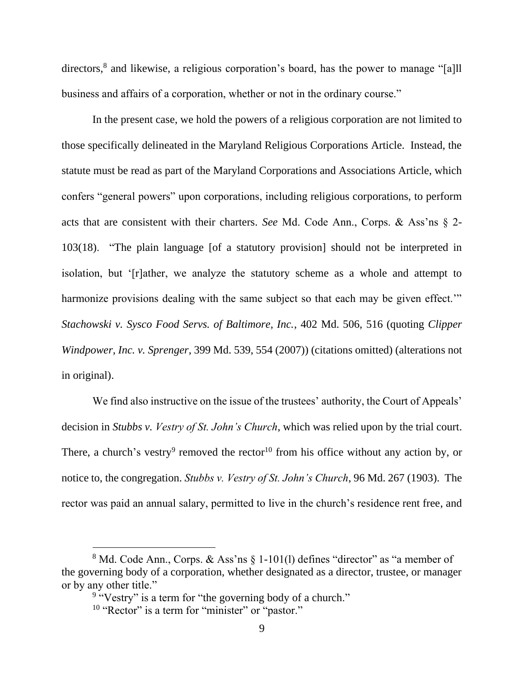directors,<sup>8</sup> and likewise, a religious corporation's board, has the power to manage "[a]ll business and affairs of a corporation, whether or not in the ordinary course."

In the present case, we hold the powers of a religious corporation are not limited to those specifically delineated in the Maryland Religious Corporations Article. Instead, the statute must be read as part of the Maryland Corporations and Associations Article, which confers "general powers" upon corporations, including religious corporations, to perform acts that are consistent with their charters. *See* Md. Code Ann., Corps. & Ass'ns § 2- 103(18). "The plain language [of a statutory provision] should not be interpreted in isolation, but '[r]ather, we analyze the statutory scheme as a whole and attempt to harmonize provisions dealing with the same subject so that each may be given effect." *Stachowski v. Sysco Food Servs. of Baltimore, Inc.*, 402 Md. 506, 516 (quoting *Clipper Windpower, Inc. v. Sprenger*, 399 Md. 539, 554 (2007)) (citations omitted) (alterations not in original).

We find also instructive on the issue of the trustees' authority, the Court of Appeals' decision in *Stubbs v. Vestry of St. John's Church*, which was relied upon by the trial court. There, a church's vestry<sup>9</sup> removed the rector<sup>10</sup> from his office without any action by, or notice to, the congregation. *Stubbs v. Vestry of St. John's Church*, 96 Md. 267 (1903). The rector was paid an annual salary, permitted to live in the church's residence rent free, and

 $8$  Md. Code Ann., Corps. & Ass'ns  $\S$  1-101(1) defines "director" as "a member of the governing body of a corporation, whether designated as a director, trustee, or manager or by any other title."

<sup>&</sup>lt;sup>9</sup> "Vestry" is a term for "the governing body of a church."

<sup>&</sup>lt;sup>10</sup> "Rector" is a term for "minister" or "pastor."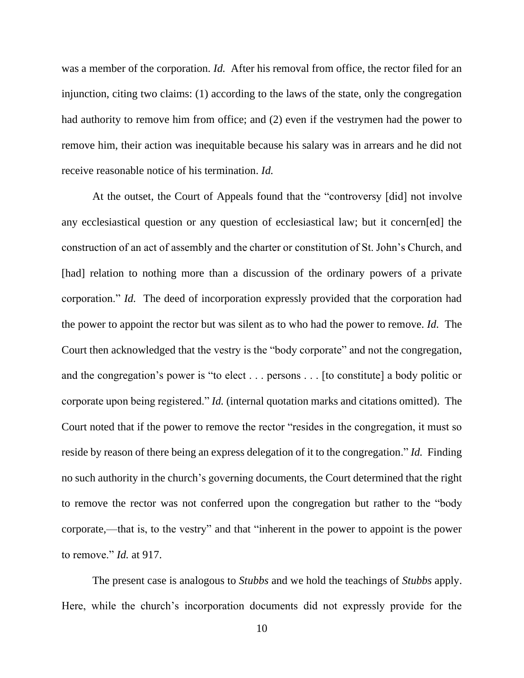was a member of the corporation. *Id.* After his removal from office, the rector filed for an injunction, citing two claims: (1) according to the laws of the state, only the congregation had authority to remove him from office; and (2) even if the vestrymen had the power to remove him, their action was inequitable because his salary was in arrears and he did not receive reasonable notice of his termination. *Id.* 

At the outset, the Court of Appeals found that the "controversy [did] not involve any ecclesiastical question or any question of ecclesiastical law; but it concern[ed] the construction of an act of assembly and the charter or constitution of St. John's Church, and [had] relation to nothing more than a discussion of the ordinary powers of a private corporation." *Id.* The deed of incorporation expressly provided that the corporation had the power to appoint the rector but was silent as to who had the power to remove. *Id.* The Court then acknowledged that the vestry is the "body corporate" and not the congregation, and the congregation's power is "to elect . . . persons . . . [to constitute] a body politic or corporate upon being registered." *Id.* (internal quotation marks and citations omitted). The Court noted that if the power to remove the rector "resides in the congregation, it must so reside by reason of there being an express delegation of it to the congregation." *Id.* Finding no such authority in the church's governing documents, the Court determined that the right to remove the rector was not conferred upon the congregation but rather to the "body corporate,—that is, to the vestry" and that "inherent in the power to appoint is the power to remove." *Id.* at 917.

The present case is analogous to *Stubbs* and we hold the teachings of *Stubbs* apply. Here, while the church's incorporation documents did not expressly provide for the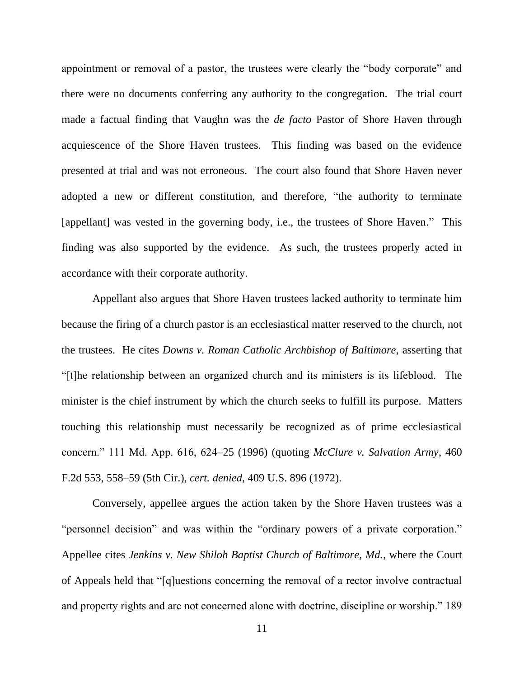appointment or removal of a pastor, the trustees were clearly the "body corporate" and there were no documents conferring any authority to the congregation. The trial court made a factual finding that Vaughn was the *de facto* Pastor of Shore Haven through acquiescence of the Shore Haven trustees. This finding was based on the evidence presented at trial and was not erroneous. The court also found that Shore Haven never adopted a new or different constitution, and therefore, "the authority to terminate [appellant] was vested in the governing body, i.e., the trustees of Shore Haven." This finding was also supported by the evidence. As such, the trustees properly acted in accordance with their corporate authority.

Appellant also argues that Shore Haven trustees lacked authority to terminate him because the firing of a church pastor is an ecclesiastical matter reserved to the church, not the trustees. He cites *Downs v. Roman Catholic Archbishop of Baltimore*, asserting that "[t]he relationship between an organized church and its ministers is its lifeblood. The minister is the chief instrument by which the church seeks to fulfill its purpose. Matters touching this relationship must necessarily be recognized as of prime ecclesiastical concern." 111 Md. App. 616, 624–25 (1996) (quoting *McClure v. Salvation Army*, 460 F.2d 553, 558–59 (5th Cir.), *cert. denied*, 409 U.S. 896 (1972).

Conversely, appellee argues the action taken by the Shore Haven trustees was a "personnel decision" and was within the "ordinary powers of a private corporation." Appellee cites *Jenkins v. New Shiloh Baptist Church of Baltimore, Md.*, where the Court of Appeals held that "[q]uestions concerning the removal of a rector involve contractual and property rights and are not concerned alone with doctrine, discipline or worship." 189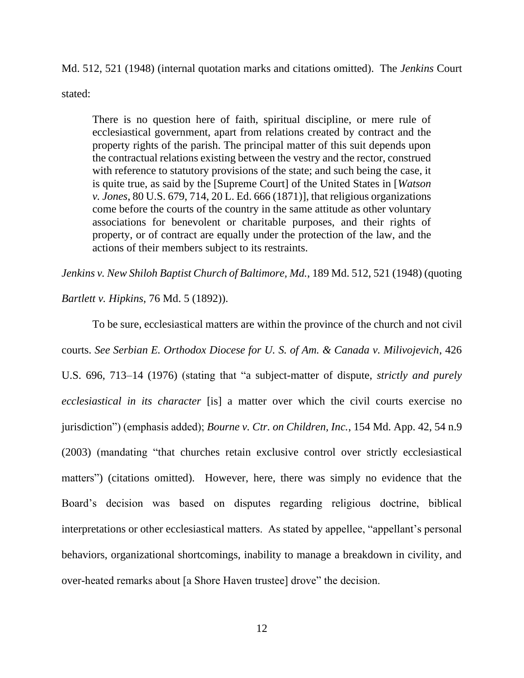Md. 512, 521 (1948) (internal quotation marks and citations omitted). The *Jenkins* Court

stated:

There is no question here of faith, spiritual discipline, or mere rule of ecclesiastical government, apart from relations created by contract and the property rights of the parish. The principal matter of this suit depends upon the contractual relations existing between the vestry and the rector, construed with reference to statutory provisions of the state; and such being the case, it is quite true, as said by the [Supreme Court] of the United States in [*Watson v. Jones*, 80 U.S. 679, 714, 20 L. Ed. 666 (1871)], that religious organizations come before the courts of the country in the same attitude as other voluntary associations for benevolent or charitable purposes, and their rights of property, or of contract are equally under the protection of the law, and the actions of their members subject to its restraints.

*Jenkins v. New Shiloh Baptist Church of Baltimore, Md.*, 189 Md. 512, 521 (1948) (quoting

*Bartlett v. Hipkins*, 76 Md. 5 (1892)).

To be sure, ecclesiastical matters are within the province of the church and not civil courts. *See Serbian E. Orthodox Diocese for U. S. of Am. & Canada v. Milivojevich*, 426 U.S. 696, 713–14 (1976) (stating that "a subject-matter of dispute, *strictly and purely ecclesiastical in its character* [is] a matter over which the civil courts exercise no jurisdiction") (emphasis added); *Bourne v. Ctr. on Children, Inc.*, 154 Md. App. 42, 54 n.9 (2003) (mandating "that churches retain exclusive control over strictly ecclesiastical matters") (citations omitted). However, here, there was simply no evidence that the Board's decision was based on disputes regarding religious doctrine, biblical interpretations or other ecclesiastical matters. As stated by appellee, "appellant's personal behaviors, organizational shortcomings, inability to manage a breakdown in civility, and over-heated remarks about [a Shore Haven trustee] drove" the decision.